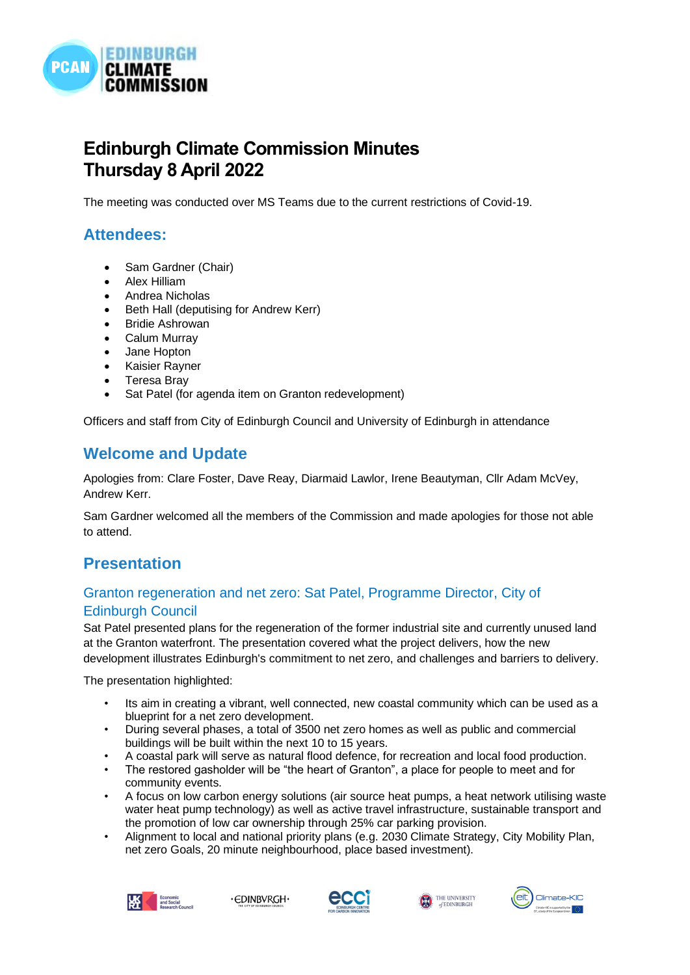

# **Edinburgh Climate Commission Minutes Thursday 8 April 2022**

The meeting was conducted over MS Teams due to the current restrictions of Covid-19.

### **Attendees:**

- Sam Gardner (Chair)
- Alex Hilliam
- Andrea Nicholas
- Beth Hall (deputising for Andrew Kerr)
- Bridie Ashrowan
- **Calum Murray**
- Jane Hopton
- Kaisier Rayner
- Teresa Brav
- Sat Patel (for agenda item on Granton redevelopment)

Officers and staff from City of Edinburgh Council and University of Edinburgh in attendance

### **Welcome and Update**

Apologies from: Clare Foster, Dave Reay, Diarmaid Lawlor, Irene Beautyman, Cllr Adam McVey, Andrew Kerr.

Sam Gardner welcomed all the members of the Commission and made apologies for those not able to attend.

### **Presentation**

### Granton regeneration and net zero: Sat Patel, Programme Director, City of Edinburgh Council

Sat Patel presented plans for the regeneration of the former industrial site and currently unused land at the Granton waterfront. The presentation covered what the project delivers, how the new development illustrates Edinburgh's commitment to net zero, and challenges and barriers to delivery.

The presentation highlighted:

- Its aim in creating a vibrant, well connected, new coastal community which can be used as a blueprint for a net zero development.
- During several phases, a total of 3500 net zero homes as well as public and commercial buildings will be built within the next 10 to 15 years.
- A coastal park will serve as natural flood defence, for recreation and local food production.
- The restored gasholder will be "the heart of Granton", a place for people to meet and for community events.
- A focus on low carbon energy solutions (air source heat pumps, a heat network utilising waste water heat pump technology) as well as active travel infrastructure, sustainable transport and the promotion of low car ownership through 25% car parking provision.
- Alignment to local and national priority plans (e.g. 2030 Climate Strategy, City Mobility Plan, net zero Goals, 20 minute neighbourhood, place based investment).









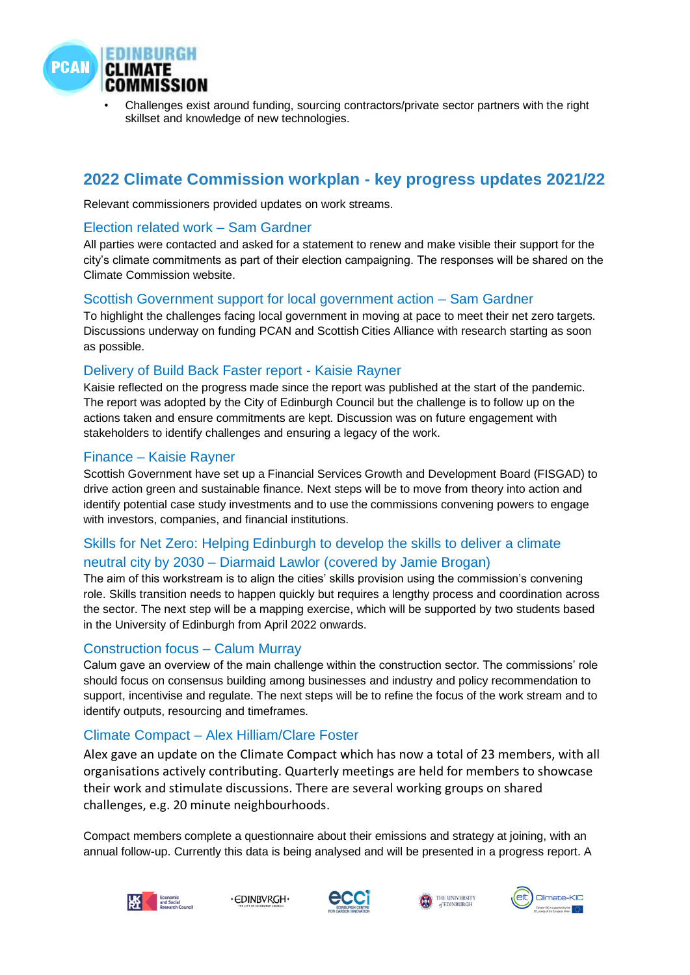

• Challenges exist around funding, sourcing contractors/private sector partners with the right skillset and knowledge of new technologies.

### **2022 Climate Commission workplan - key progress updates 2021/22**

Relevant commissioners provided updates on work streams.

#### Election related work – Sam Gardner

All parties were contacted and asked for a statement to renew and make visible their support for the city's climate commitments as part of their election campaigning. The responses will be shared on the Climate Commission website.

#### Scottish Government support for local government action – Sam Gardner

To highlight the challenges facing local government in moving at pace to meet their net zero targets. Discussions underway on funding PCAN and Scottish Cities Alliance with research starting as soon as possible.

#### Delivery of Build Back Faster report - Kaisie Rayner

Kaisie reflected on the progress made since the report was published at the start of the pandemic. The report was adopted by the City of Edinburgh Council but the challenge is to follow up on the actions taken and ensure commitments are kept. Discussion was on future engagement with stakeholders to identify challenges and ensuring a legacy of the work.

#### Finance – Kaisie Rayner

Scottish Government have set up a Financial Services Growth and Development Board (FISGAD) to drive action green and sustainable finance. Next steps will be to move from theory into action and identify potential case study investments and to use the commissions convening powers to engage with investors, companies, and financial institutions.

### Skills for Net Zero: Helping Edinburgh to develop the skills to deliver a climate neutral city by 2030 – Diarmaid Lawlor (covered by Jamie Brogan)

The aim of this workstream is to align the cities' skills provision using the commission's convening role. Skills transition needs to happen quickly but requires a lengthy process and coordination across the sector. The next step will be a mapping exercise, which will be supported by two students based in the University of Edinburgh from April 2022 onwards.

#### Construction focus – Calum Murray

Calum gave an overview of the main challenge within the construction sector. The commissions' role should focus on consensus building among businesses and industry and policy recommendation to support, incentivise and regulate. The next steps will be to refine the focus of the work stream and to identify outputs, resourcing and timeframes.

#### Climate Compact – Alex Hilliam/Clare Foster

Alex gave an update on the Climate Compact which has now a total of 23 members, with all organisations actively contributing. Quarterly meetings are held for members to showcase their work and stimulate discussions. There are several working groups on shared challenges, e.g. 20 minute neighbourhoods.

Compact members complete a questionnaire about their emissions and strategy at joining, with an annual follow-up. Currently this data is being analysed and will be presented in a progress report. A



· EDINBVRGH·